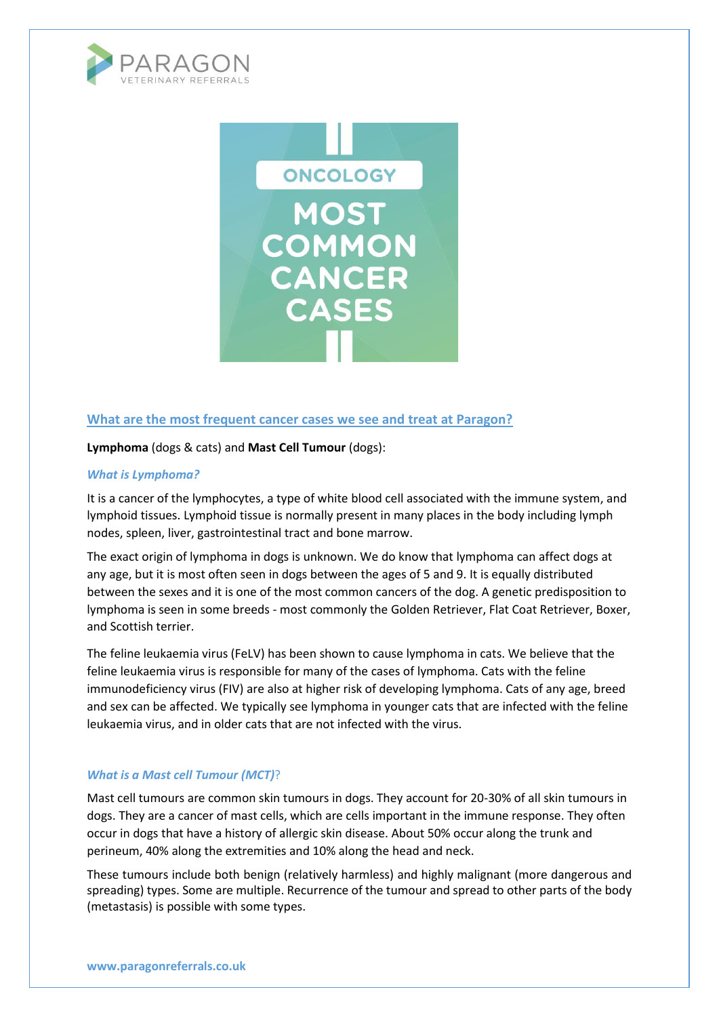



### **What are the most frequent cancer cases we see and treat at Paragon?**

**Lymphoma** (dogs & cats) and **Mast Cell Tumour** (dogs):

#### *What is Lymphoma?*

It is a cancer of the lymphocytes, a type of white blood cell associated with the immune system, and lymphoid tissues. Lymphoid tissue is normally present in many places in the body including lymph nodes, spleen, liver, gastrointestinal tract and bone marrow.

The exact origin of lymphoma in dogs is unknown. We do know that lymphoma can affect dogs at any age, but it is most often seen in dogs between the ages of 5 and 9. It is equally distributed between the sexes and it is one of the most common cancers of the dog. A genetic predisposition to lymphoma is seen in some breeds - most commonly the Golden Retriever, Flat Coat Retriever, Boxer, and Scottish terrier.

The feline leukaemia virus (FeLV) has been shown to cause lymphoma in cats. We believe that the feline leukaemia virus is responsible for many of the cases of lymphoma. Cats with the feline immunodeficiency virus (FIV) are also at higher risk of developing lymphoma. Cats of any age, breed and sex can be affected. We typically see lymphoma in younger cats that are infected with the feline leukaemia virus, and in older cats that are not infected with the virus.

#### *What is a Mast cell Tumour (MCT)*?

Mast cell tumours are common skin tumours in dogs. They account for 20-30% of all skin tumours in dogs. They are a cancer of mast cells, which are cells important in the immune response. They often occur in dogs that have a history of allergic skin disease. About 50% occur along the trunk and perineum, 40% along the extremities and 10% along the head and neck.

These tumours include both benign (relatively harmless) and highly malignant (more dangerous and spreading) types. Some are multiple. Recurrence of the tumour and spread to other parts of the body (metastasis) is possible with some types.